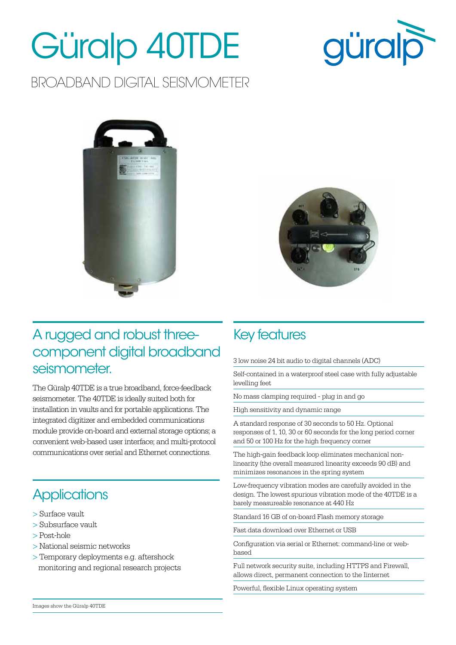# Güralp 40TDE



BROADBAND DIGITAL SEISMOMETER





#### A rugged and robust threecomponent digital broadband seismometer.

The Güralp 40TDE is a true broadband, force-feedback seismometer. The 40TDE is ideally suited both for installation in vaults and for portable applications. The integrated digitizer and embedded communications module provide on-board and external storage options; a convenient web-based user interface; and multi-protocol communications over serial and Ethernet connections.

### **Applications**

- > Surface vault
- > Subsurface vault
- > Post-hole
- > National seismic networks
- > Temporary deployments e.g. aftershock monitoring and regional research projects

#### Key features

3 low noise 24 bit audio to digital channels (ADC)

Self-contained in a waterproof steel case with fully adjustable levelling feet

No mass clamping required - plug in and go

High sensitivity and dynamic range

A standard response of 30 seconds to 50 Hz. Optional responses of 1, 10, 30 or 60 seconds for the long period corner and 50 or 100 Hz for the high frequency corner

The high-gain feedback loop eliminates mechanical nonlinearity (the overall measured linearity exceeds 90 dB) and minimizes resonances in the spring system

Low-frequency vibration modes are carefully avoided in the design. The lowest spurious vibration mode of the 40TDE is a barely measureable resonance at 440 Hz

Standard 16 GB of on-board Flash memory storage

Fast data download over Ethernet or USB

Configuration via serial or Ethernet: command-line or webbased

Full network security suite, including HTTPS and Firewall, allows direct, permanent connection to the Iinternet

Powerful, flexible Linux operating system